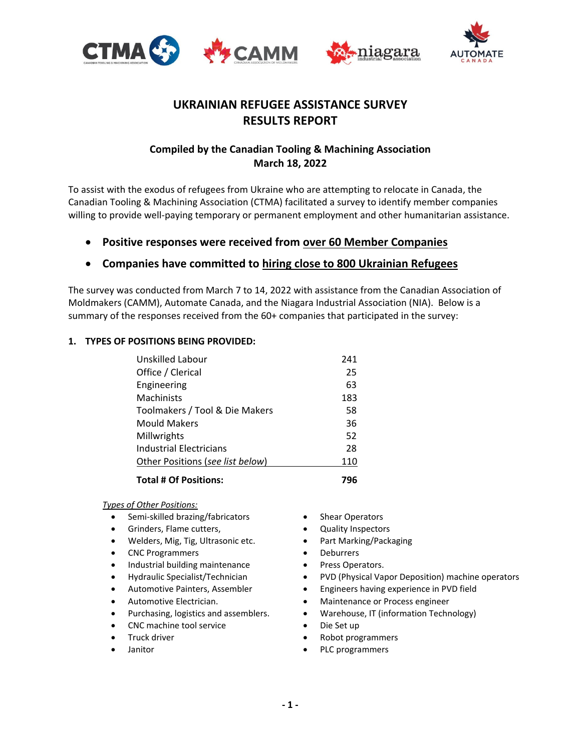





# **UKRAINIAN REFUGEE ASSISTANCE SURVEY RESULTS REPORT**

## **Compiled by the Canadian Tooling & Machining Association March 18, 2022**

To assist with the exodus of refugees from Ukraine who are attempting to relocate in Canada, the Canadian Tooling & Machining Association (CTMA) facilitated a survey to identify member companies willing to provide well-paying temporary or permanent employment and other humanitarian assistance.

**Positive responses were received from over 60 Member Companies**

## **Companies have committed to hiring close to 800 Ukrainian Refugees**

The survey was conducted from March 7 to 14, 2022 with assistance from the Canadian Association of Moldmakers (CAMM), Automate Canada, and the Niagara Industrial Association (NIA). Below is a summary of the responses received from the 60+ companies that participated in the survey:

## **1. TYPES OF POSITIONS BEING PROVIDED:**

| Unskilled Labour                 | 241 |
|----------------------------------|-----|
| Office / Clerical                | 25  |
| Engineering                      | 63  |
| <b>Machinists</b>                | 183 |
| Toolmakers / Tool & Die Makers   | 58  |
| <b>Mould Makers</b>              | 36  |
| Millwrights                      | 52  |
| Industrial Electricians          | 28  |
| Other Positions (see list below) | 110 |
| <b>Total # Of Positions:</b>     | 796 |

*Types of Other Positions:*

- Semi-skilled brazing/fabricators
- Grinders, Flame cutters,
- Welders, Mig, Tig, Ultrasonic etc.
- CNC Programmers
- Industrial building maintenance
- Hydraulic Specialist/Technician
- Automotive Painters, Assembler
- Automotive Electrician.
- Purchasing, logistics and assemblers.
- CNC machine tool service
- Truck driver
- Janitor
- Shear Operators
- Quality Inspectors
- Part Marking/Packaging
- Deburrers
- Press Operators.
- PVD (Physical Vapor Deposition) machine operators
- Engineers having experience in PVD field
- Maintenance or Process engineer
- Warehouse, IT (information Technology)
- Die Set up
- Robot programmers
- PLC programmers